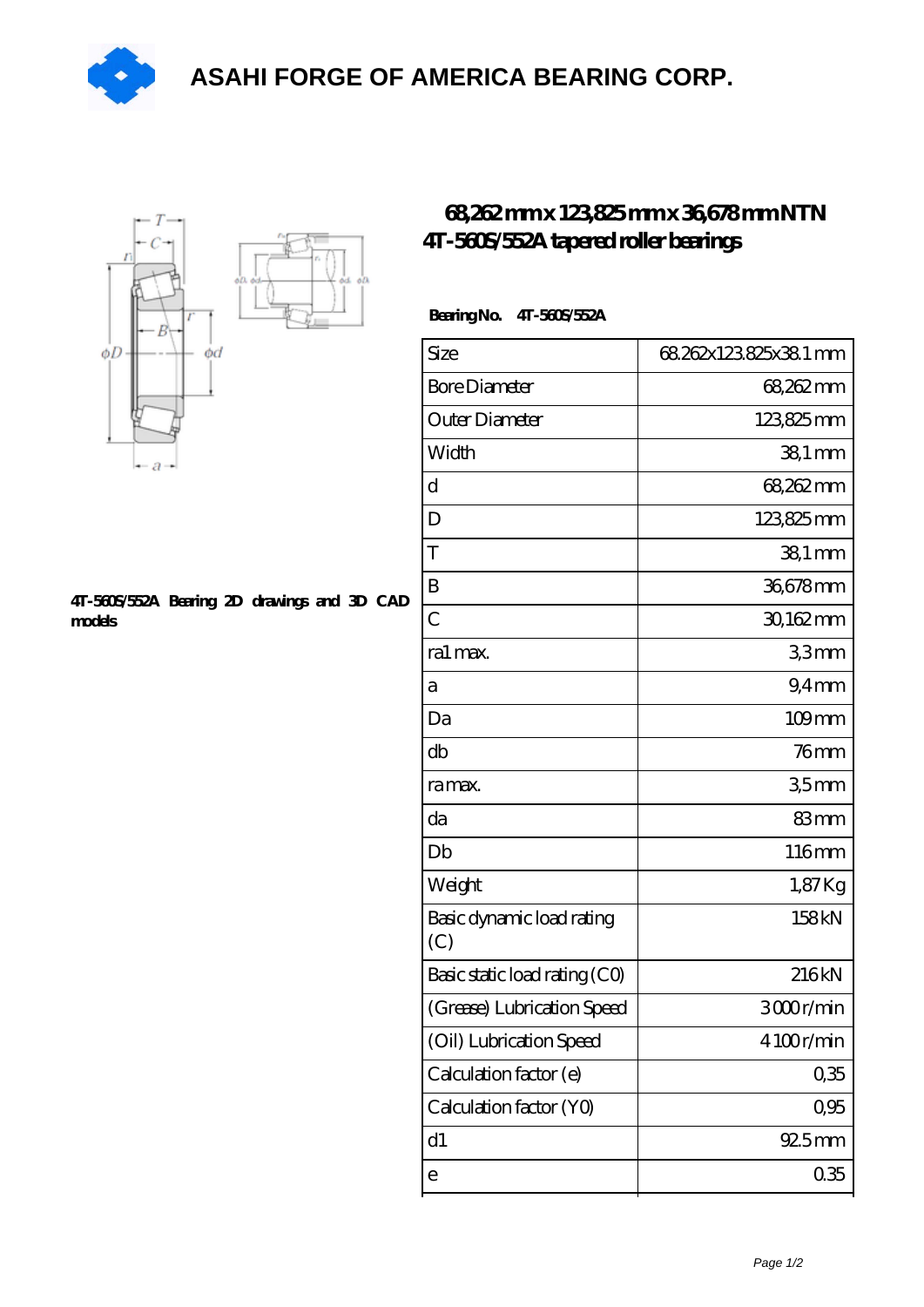**[ASAHI FORGE OF AMERICA BEARING CORP.](https://m.pufidikcanavarlar.com)**





## **[4T-560S/552A Bearing 2D drawings and 3D CAD](https://m.pufidikcanavarlar.com/pic-65118496.html) [models](https://m.pufidikcanavarlar.com/pic-65118496.html)**

## **[68,262 mm x 123,825 mm x 36,678 mm NTN](https://m.pufidikcanavarlar.com/ntn-4t-560s-552a-bearing/) [4T-560S/552A tapered roller bearings](https://m.pufidikcanavarlar.com/ntn-4t-560s-552a-bearing/)**

## **Bearing No. 4T-560S/552A**

| Size                             | 68.262x123.825x38.1 mm |
|----------------------------------|------------------------|
| <b>Bore Diameter</b>             | 68,262 mm              |
| Outer Diameter                   | 123825mm               |
| Width                            | $381$ mm               |
| d                                | 68,262 mm              |
| D                                | 123825mm               |
| T                                | $381$ mm               |
| B                                | 36678mm                |
| $\overline{C}$                   | 30,162mm               |
| ra1 max.                         | 33mm                   |
| а                                | 9.4 <sub>mm</sub>      |
| Da                               | $109$ mm               |
| db                               | $76$ mm                |
| ra max.                          | 35mm                   |
| da                               | 83mm                   |
| Db                               | 116mm                  |
| Weight                           | $1,87$ Kg              |
| Basic dynamic load rating<br>(C) | 158kN                  |
| Basic static load rating (CO)    | 216kN                  |
| (Grease) Lubrication Speed       | 3000r/min              |
| (Oil) Lubrication Speed          | 4100r/min              |
| Calculation factor (e)           | 0,35                   |
| Calculation factor (YO)          | 0,95                   |
| d1                               | 925mm                  |
| е                                | 035                    |